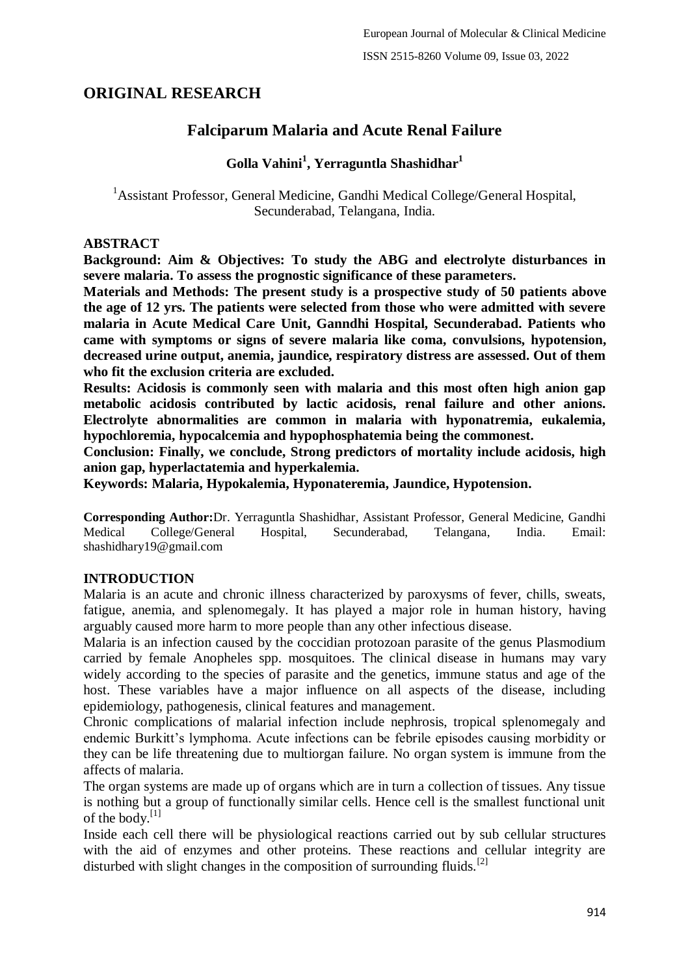# **ORIGINAL RESEARCH**

# **Falciparum Malaria and Acute Renal Failure**

# **Golla Vahini<sup>1</sup> , Yerraguntla Shashidhar<sup>1</sup>**

<sup>1</sup> Assistant Professor, General Medicine, Gandhi Medical College/General Hospital, Secunderabad, Telangana, India.

### **ABSTRACT**

**Background: Aim & Objectives: To study the ABG and electrolyte disturbances in severe malaria. To assess the prognostic significance of these parameters.**

**Materials and Methods: The present study is a prospective study of 50 patients above the age of 12 yrs. The patients were selected from those who were admitted with severe malaria in Acute Medical Care Unit, Ganndhi Hospital, Secunderabad. Patients who came with symptoms or signs of severe malaria like coma, convulsions, hypotension, decreased urine output, anemia, jaundice, respiratory distress are assessed. Out of them who fit the exclusion criteria are excluded.**

**Results: Acidosis is commonly seen with malaria and this most often high anion gap metabolic acidosis contributed by lactic acidosis, renal failure and other anions. Electrolyte abnormalities are common in malaria with hyponatremia, eukalemia, hypochloremia, hypocalcemia and hypophosphatemia being the commonest.**

**Conclusion: Finally, we conclude, Strong predictors of mortality include acidosis, high anion gap, hyperlactatemia and hyperkalemia.**

**Keywords: Malaria, Hypokalemia, Hyponateremia, Jaundice, Hypotension.**

**Corresponding Author:**Dr. Yerraguntla Shashidhar, Assistant Professor, General Medicine, Gandhi Medical College/General Hospital, Secunderabad, Telangana, India. Email: shashidhary19@gmail.com

# **INTRODUCTION**

Malaria is an acute and chronic illness characterized by paroxysms of fever, chills, sweats, fatigue, anemia, and splenomegaly. It has played a major role in human history, having arguably caused more harm to more people than any other infectious disease.

Malaria is an infection caused by the coccidian protozoan parasite of the genus Plasmodium carried by female Anopheles spp. mosquitoes. The clinical disease in humans may vary widely according to the species of parasite and the genetics, immune status and age of the host. These variables have a major influence on all aspects of the disease, including epidemiology, pathogenesis, clinical features and management.

Chronic complications of malarial infection include nephrosis, tropical splenomegaly and endemic Burkitt's lymphoma. Acute infections can be febrile episodes causing morbidity or they can be life threatening due to multiorgan failure. No organ system is immune from the affects of malaria.

The organ systems are made up of organs which are in turn a collection of tissues. Any tissue is nothing but a group of functionally similar cells. Hence cell is the smallest functional unit of the body.[1]

Inside each cell there will be physiological reactions carried out by sub cellular structures with the aid of enzymes and other proteins. These reactions and cellular integrity are disturbed with slight changes in the composition of surrounding fluids.<sup>[2]</sup>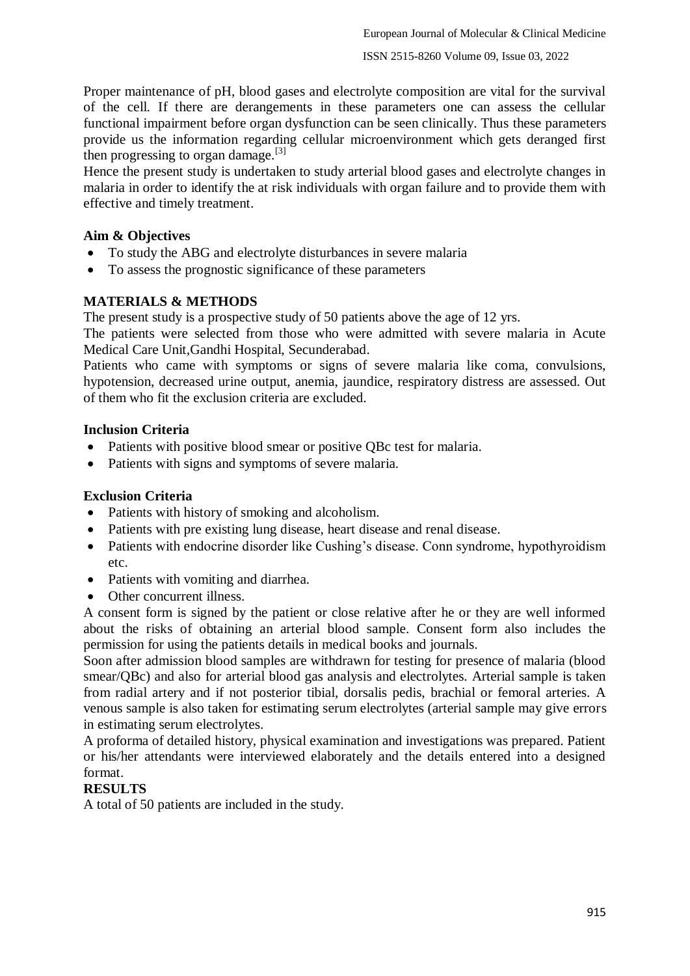Proper maintenance of pH, blood gases and electrolyte composition are vital for the survival of the cell. If there are derangements in these parameters one can assess the cellular functional impairment before organ dysfunction can be seen clinically. Thus these parameters provide us the information regarding cellular microenvironment which gets deranged first then progressing to organ damage.<sup>[3]</sup>

Hence the present study is undertaken to study arterial blood gases and electrolyte changes in malaria in order to identify the at risk individuals with organ failure and to provide them with effective and timely treatment.

# **Aim & Objectives**

- To study the ABG and electrolyte disturbances in severe malaria
- To assess the prognostic significance of these parameters

# **MATERIALS & METHODS**

The present study is a prospective study of 50 patients above the age of 12 yrs.

The patients were selected from those who were admitted with severe malaria in Acute Medical Care Unit,Gandhi Hospital, Secunderabad.

Patients who came with symptoms or signs of severe malaria like coma, convulsions, hypotension, decreased urine output, anemia, jaundice, respiratory distress are assessed. Out of them who fit the exclusion criteria are excluded.

# **Inclusion Criteria**

- Patients with positive blood smear or positive QBc test for malaria.
- Patients with signs and symptoms of severe malaria.

# **Exclusion Criteria**

- Patients with history of smoking and alcoholism.
- Patients with pre existing lung disease, heart disease and renal disease.
- Patients with endocrine disorder like Cushing's disease. Conn syndrome, hypothyroidism etc.
- Patients with vomiting and diarrhea.
- Other concurrent illness.

A consent form is signed by the patient or close relative after he or they are well informed about the risks of obtaining an arterial blood sample. Consent form also includes the permission for using the patients details in medical books and journals.

Soon after admission blood samples are withdrawn for testing for presence of malaria (blood smear/QBc) and also for arterial blood gas analysis and electrolytes. Arterial sample is taken from radial artery and if not posterior tibial, dorsalis pedis, brachial or femoral arteries. A venous sample is also taken for estimating serum electrolytes (arterial sample may give errors in estimating serum electrolytes.

A proforma of detailed history, physical examination and investigations was prepared. Patient or his/her attendants were interviewed elaborately and the details entered into a designed format.

# **RESULTS**

A total of 50 patients are included in the study.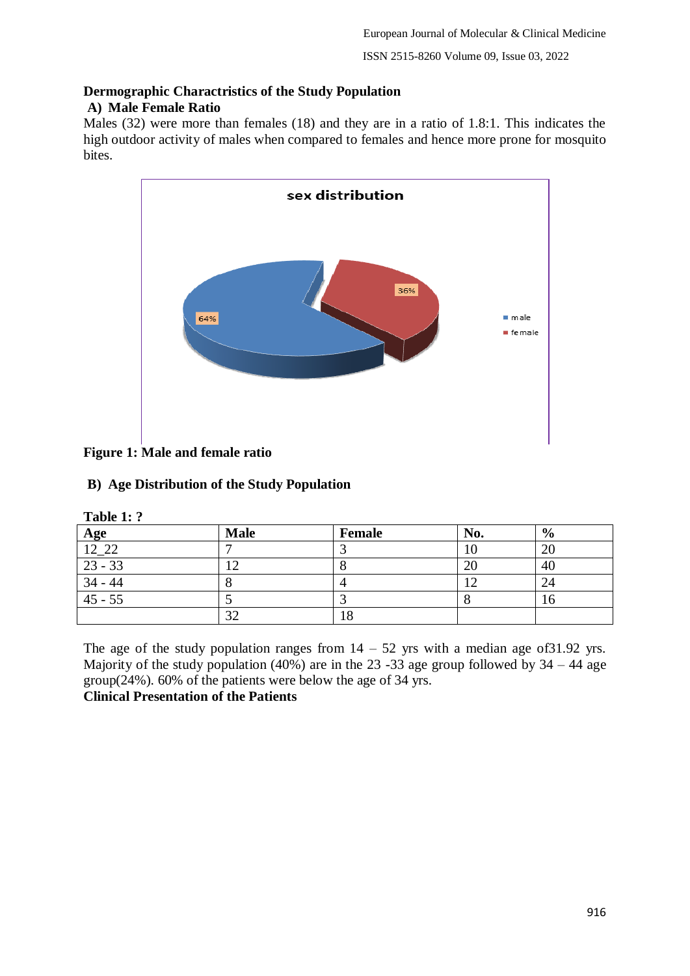# **Dermographic Charactristics of the Study Population**

# **A) Male Female Ratio**

Males (32) were more than females (18) and they are in a ratio of 1.8:1. This indicates the high outdoor activity of males when compared to females and hence more prone for mosquito bites.



# **Figure 1: Male and female ratio**

# **B) Age Distribution of the Study Population**

| Table 1: ?            |             |        |     |               |
|-----------------------|-------------|--------|-----|---------------|
| Age                   | <b>Male</b> | Female | No. | $\frac{6}{9}$ |
|                       |             |        | 10  | 20            |
| $\frac{12.22}{23.33}$ |             |        | 2(  | 40            |
| $34 - 44$             |             |        |     | 24            |
| $45 - 55$             |             |        |     | O             |
|                       | 32          | . 0    |     |               |

The age of the study population ranges from  $14 - 52$  yrs with a median age of 31.92 yrs. Majority of the study population (40%) are in the 23 -33 age group followed by  $34 - 44$  age group(24%). 60% of the patients were below the age of 34 yrs.

# **Clinical Presentation of the Patients**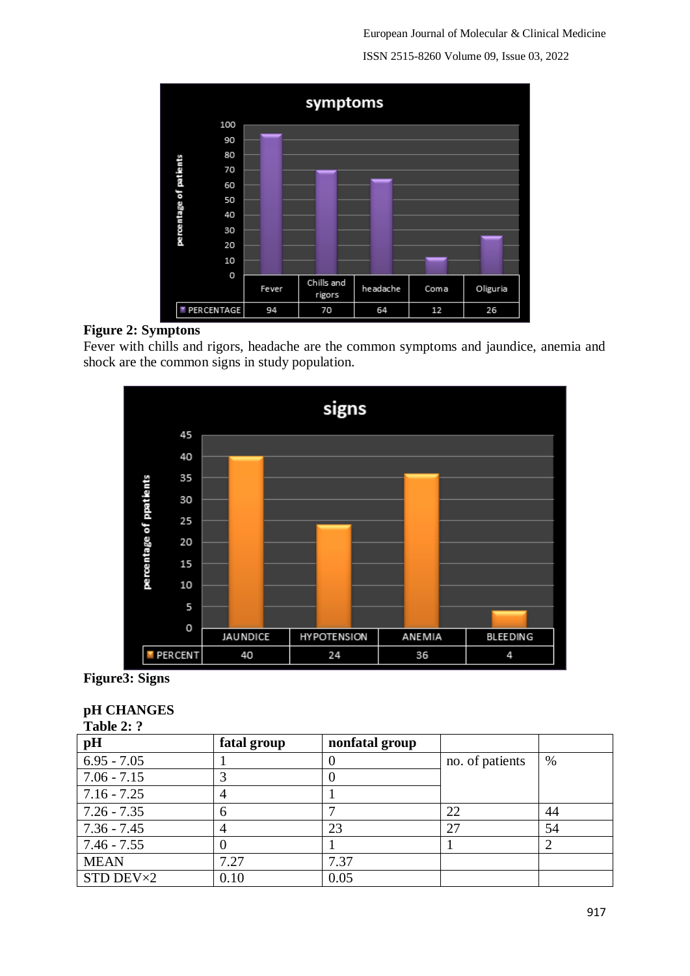European Journal of Molecular & Clinical Medicine ISSN 2515-8260 Volume 09, Issue 03, 2022



# **Figure 2: Symptons**

Fever with chills and rigors, headache are the common symptoms and jaundice, anemia and shock are the common signs in study population.



# **Figure3: Signs**

| Table 2: ?    |              |                |                 |      |
|---------------|--------------|----------------|-----------------|------|
| pH            | fatal group  | nonfatal group |                 |      |
| $6.95 - 7.05$ |              | O              | no. of patients | $\%$ |
| $7.06 - 7.15$ | 3            |                |                 |      |
| $7.16 - 7.25$ | 4            |                |                 |      |
| $7.26 - 7.35$ | 6            |                | 22              | 44   |
| $7.36 - 7.45$ | 4            | 23             | 27              | 54   |
| $7.46 - 7.55$ | $\mathbf{0}$ |                |                 |      |
| <b>MEAN</b>   | 7.27         | 7.37           |                 |      |
| STD DEV×2     | 0.10         | 0.05           |                 |      |

# **pH CHANGES**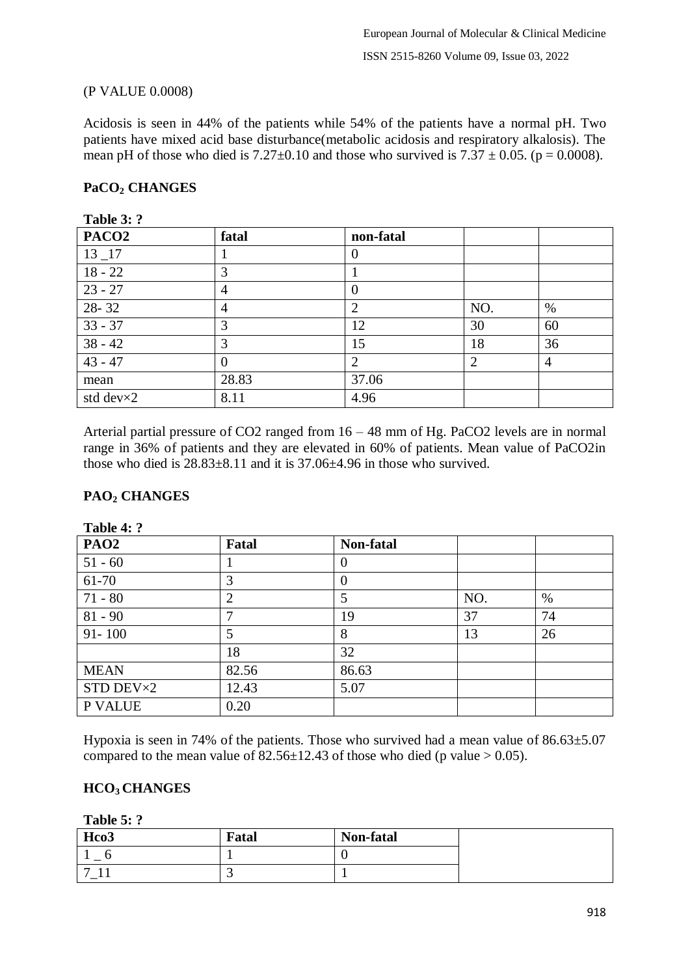# (P VALUE 0.0008)

Acidosis is seen in 44% of the patients while 54% of the patients have a normal pH. Two patients have mixed acid base disturbance(metabolic acidosis and respiratory alkalosis). The mean pH of those who died is  $7.27\pm0.10$  and those who survived is  $7.37 \pm 0.05$ . (p = 0.0008).

### **PaCO<sup>2</sup> CHANGES**

| PACO <sub>2</sub>  | fatal          | non-fatal |                |      |
|--------------------|----------------|-----------|----------------|------|
| $13 - 17$          |                | $\theta$  |                |      |
| $18 - 22$          | 3              |           |                |      |
| $23 - 27$          | $\overline{4}$ | $\theta$  |                |      |
| 28-32              | $\overline{4}$ | 2         | NO.            | $\%$ |
| $33 - 37$          | 3              | 12        | 30             | 60   |
| $38 - 42$          | 3              | 15        | 18             | 36   |
| $43 - 47$          | $\Omega$       | ∍         | $\overline{2}$ | 4    |
| mean               | 28.83          | 37.06     |                |      |
| std dev $\times 2$ | 8.11           | 4.96      |                |      |

**Table 3: ?**

Arterial partial pressure of CO2 ranged from 16 – 48 mm of Hg. PaCO2 levels are in normal range in 36% of patients and they are elevated in 60% of patients. Mean value of PaCO2in those who died is  $28.83\pm8.11$  and it is  $37.06\pm4.96$  in those who survived.

# **PAO<sup>2</sup> CHANGES**

| $140K$ T. . |                |                |     |    |  |
|-------------|----------------|----------------|-----|----|--|
| <b>PAO2</b> | Fatal          | Non-fatal      |     |    |  |
| $51 - 60$   |                | 0              |     |    |  |
| 61-70       | 3              | $\overline{0}$ |     |    |  |
| $71 - 80$   | $\overline{2}$ | 5              | NO. | %  |  |
| $81 - 90$   | ┑              | 19             | 37  | 74 |  |
| $91 - 100$  |                | 8              | 13  | 26 |  |
|             | 18             | 32             |     |    |  |
| <b>MEAN</b> | 82.56          | 86.63          |     |    |  |
| STD DEV×2   | 12.43          | 5.07           |     |    |  |
| P VALUE     | 0.20           |                |     |    |  |

**Table 4: ?**

Hypoxia is seen in 74% of the patients. Those who survived had a mean value of  $86.63\pm5.07$ compared to the mean value of  $82.56 \pm 12.43$  of those who died (p value  $> 0.05$ ).

### **HCO3 CHANGES**

**Table 5: ?**

| Hco3 | Fatal | Non-fatal |  |
|------|-------|-----------|--|
|      |       |           |  |
| −    |       |           |  |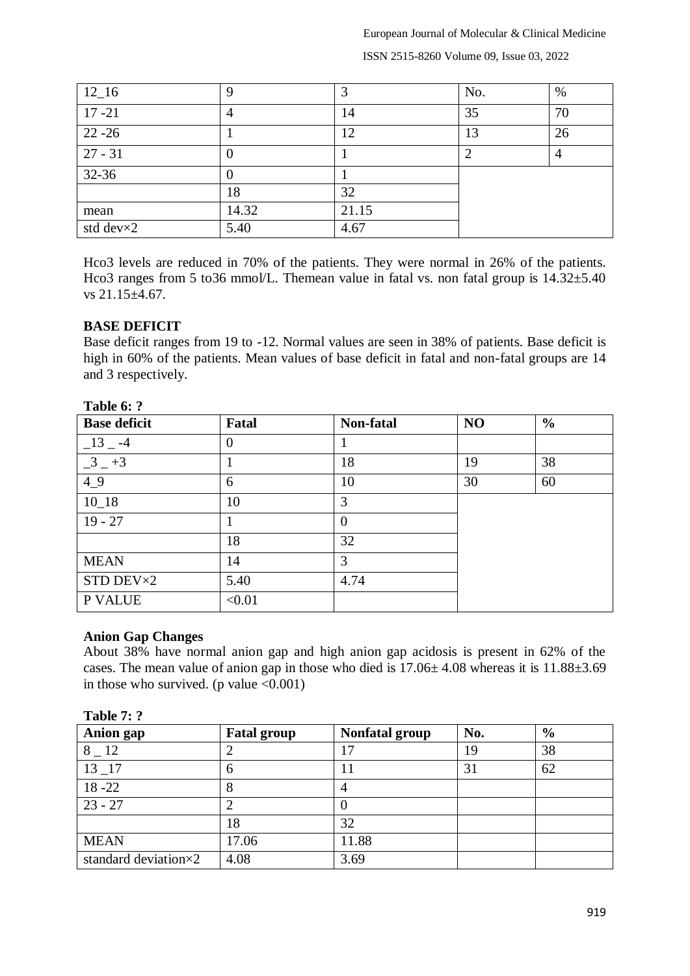European Journal of Molecular & Clinical Medicine

ISSN 2515-8260 Volume 09, Issue 03, 2022

| $12\_16$  |       | っ     | No. | $\%$ |
|-----------|-------|-------|-----|------|
| $17 - 21$ | 4     | 14    | 35  | 70   |
| $22 - 26$ |       | 12    | 13  | 26   |
| $27 - 31$ |       |       |     |      |
| $32 - 36$ |       |       |     |      |
|           | 18    | 32    |     |      |
| mean      | 14.32 | 21.15 |     |      |
| std dev×2 | 5.40  | 4.67  |     |      |

Hco3 levels are reduced in 70% of the patients. They were normal in 26% of the patients. Hco3 ranges from 5 to36 mmol/L. Themean value in fatal vs. non fatal group is  $14.32\pm5.40$ vs 21.15±4.67.

### **BASE DEFICIT**

Base deficit ranges from 19 to -12. Normal values are seen in 38% of patients. Base deficit is high in 60% of the patients. Mean values of base deficit in fatal and non-fatal groups are 14 and 3 respectively.

| <b>Base deficit</b> | Fatal    | Non-fatal | NO | $\frac{0}{0}$ |
|---------------------|----------|-----------|----|---------------|
| $-13 - -4$          | $\theta$ |           |    |               |
| $-3 - +3$           |          | 18        | 19 | 38            |
| 49                  | 6        | 10        | 30 | 60            |
| $10_18$             | 10       | 3         |    |               |
| $19 - 27$           |          | $\Omega$  |    |               |
|                     | 18       | 32        |    |               |
| <b>MEAN</b>         | 14       | 3         |    |               |
| STD DEV×2           | 5.40     | 4.74      |    |               |
| P VALUE             | < 0.01   |           |    |               |

# **Table 6: ?**

### **Anion Gap Changes**

About 38% have normal anion gap and high anion gap acidosis is present in 62% of the cases. The mean value of anion gap in those who died is  $17.06 \pm 4.08$  whereas it is  $11.88 \pm 3.69$ in those who survived. (p value  $\leq 0.001$ )

| $1$ avie $\prime$ .  |                    |                       |     |               |
|----------------------|--------------------|-----------------------|-----|---------------|
| <b>Anion gap</b>     | <b>Fatal group</b> | <b>Nonfatal group</b> | No. | $\frac{6}{6}$ |
| 8 12                 |                    | 17                    | 19  | 38            |
| $13 - 17$            | 6                  |                       | 31  | 62            |
| $18 - 22$            | ◠                  |                       |     |               |
| $23 - 27$            |                    |                       |     |               |
|                      | 18                 | 32                    |     |               |
| <b>MEAN</b>          | 17.06              | 11.88                 |     |               |
| standard deviation×2 | 4.08               | 3.69                  |     |               |

#### **Table 7: ?**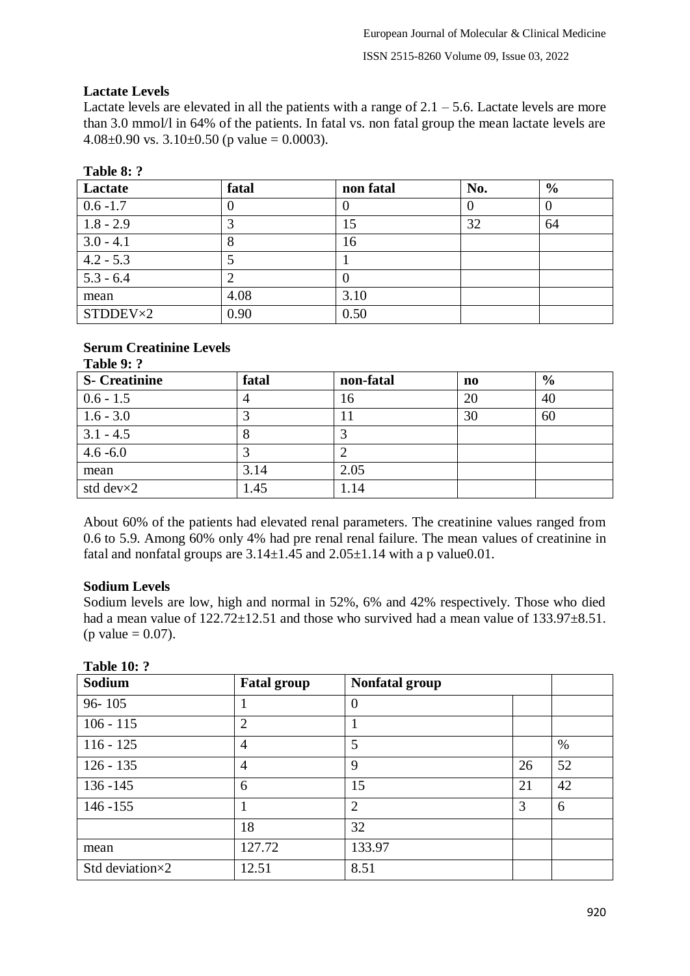# **Lactate Levels**

Lactate levels are elevated in all the patients with a range of  $2.1 - 5.6$ . Lactate levels are more than 3.0 mmol/l in 64% of the patients. In fatal vs. non fatal group the mean lactate levels are 4.08 $\pm$ 0.90 vs. 3.10 $\pm$ 0.50 (p value = 0.0003).

| ***** ** *  |       |           |     |               |
|-------------|-------|-----------|-----|---------------|
| Lactate     | fatal | non fatal | No. | $\frac{6}{9}$ |
| $0.6 - 1.7$ |       |           |     |               |
| $1.8 - 2.9$ |       | 15        | 32  | 64            |
| $3.0 - 4.1$ | δ     | 16        |     |               |
| $4.2 - 5.3$ |       |           |     |               |
| $5.3 - 6.4$ |       |           |     |               |
| mean        | 4.08  | 3.10      |     |               |
| STDDEV×2    | 0.90  | 0.50      |     |               |

# **Table 8: ?**

### **Serum Creatinine Levels Table 9: ?**

| <b>S</b> - Creatinine | fatal | non-fatal | no | $\frac{6}{9}$ |
|-----------------------|-------|-----------|----|---------------|
| $0.6 - 1.5$           |       | 16        | 20 | 40            |
| $1.6 - 3.0$           |       |           | 30 | 60            |
| $3.1 - 4.5$           |       |           |    |               |
| $4.6 - 6.0$           |       |           |    |               |
| mean                  | 3.14  | 2.05      |    |               |
| std dev $\times 2$    | 1.45  | 1.14      |    |               |

About 60% of the patients had elevated renal parameters. The creatinine values ranged from 0.6 to 5.9. Among 60% only 4% had pre renal renal failure. The mean values of creatinine in fatal and nonfatal groups are  $3.14 \pm 1.45$  and  $2.05 \pm 1.14$  with a p value 0.01.

# **Sodium Levels**

Sodium levels are low, high and normal in 52%, 6% and 42% respectively. Those who died had a mean value of  $122.72 \pm 12.51$  and those who survived had a mean value of  $133.97 \pm 8.51$ . (p value  $= 0.07$ ).

| Sodium          | <b>Fatal group</b> | Nonfatal group |    |      |
|-----------------|--------------------|----------------|----|------|
| $96 - 105$      |                    | $\overline{0}$ |    |      |
| $106 - 115$     | $\overline{2}$     |                |    |      |
| $116 - 125$     | 4                  | 5              |    | $\%$ |
| $126 - 135$     | 4                  | 9              | 26 | 52   |
| $136 - 145$     | 6                  | 15             | 21 | 42   |
| $146 - 155$     |                    | $\overline{2}$ | 3  | 6    |
|                 | 18                 | 32             |    |      |
| mean            | 127.72             | 133.97         |    |      |
| Std deviation×2 | 12.51              | 8.51           |    |      |

# **Table 10: ?**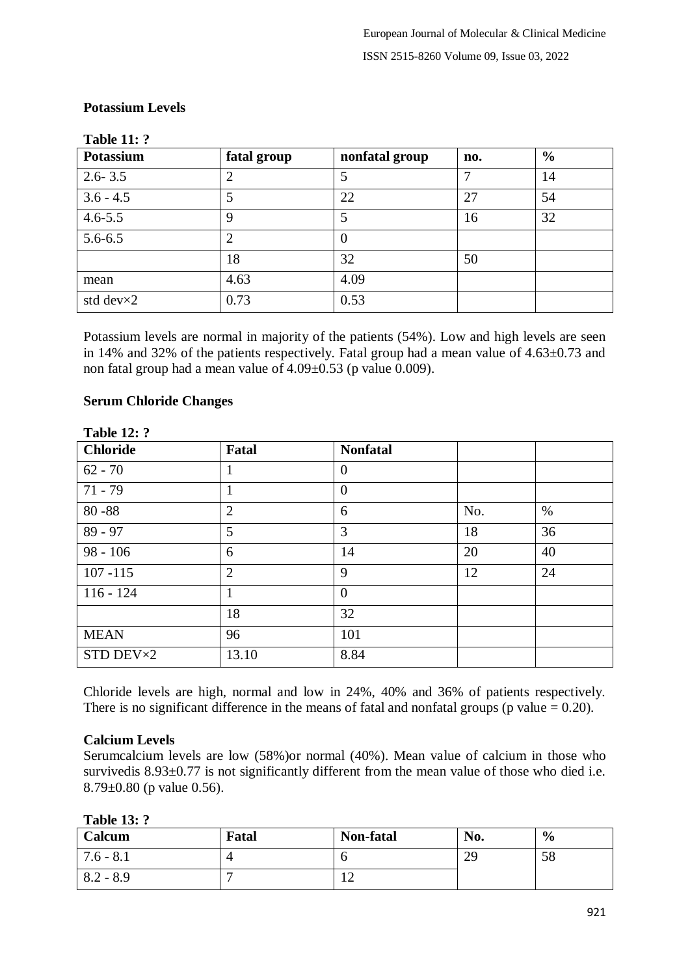| TANIC TT. .<br><b>Potassium</b> | fatal group    | nonfatal group | no.           | $\frac{0}{0}$ |
|---------------------------------|----------------|----------------|---------------|---------------|
| $2.6 - 3.5$                     | $\overline{2}$ | 5              | $\mathcal{I}$ | 14            |
| $3.6 - 4.5$                     | 5              | 22             | 27            | 54            |
| $4.6 - 5.5$                     | 9              | 5              | 16            | 32            |
| $5.6 - 6.5$                     | $\overline{2}$ | $\theta$       |               |               |
|                                 | 18             | 32             | 50            |               |
| mean                            | 4.63           | 4.09           |               |               |
| std dev $\times 2$              | 0.73           | 0.53           |               |               |

### **Potassium Levels**

**Table 11: ?**

Potassium levels are normal in majority of the patients (54%). Low and high levels are seen in 14% and 32% of the patients respectively. Fatal group had a mean value of 4.63±0.73 and non fatal group had a mean value of 4.09±0.53 (p value 0.009).

### **Serum Chloride Changes**

| 1001V 120 .     |                |                 |     |      |
|-----------------|----------------|-----------------|-----|------|
| <b>Chloride</b> | Fatal          | <b>Nonfatal</b> |     |      |
| $62 - 70$       | 1              | $\theta$        |     |      |
| $71 - 79$       | н              | $\theta$        |     |      |
| $80 - 88$       | $\overline{2}$ | 6               | No. | $\%$ |
| $89 - 97$       | 5              | 3               | 18  | 36   |
| $98 - 106$      | 6              | 14              | 20  | 40   |
| $107 - 115$     | $\overline{2}$ | 9               | 12  | 24   |
| $116 - 124$     | 1              | $\theta$        |     |      |
|                 | 18             | 32              |     |      |
| <b>MEAN</b>     | 96             | 101             |     |      |
| STD DEV×2       | 13.10          | 8.84            |     |      |

# **Table 12: ?**

Chloride levels are high, normal and low in 24%, 40% and 36% of patients respectively. There is no significant difference in the means of fatal and nonfatal groups (p value  $= 0.20$ ).

### **Calcium Levels**

Serumcalcium levels are low (58%)or normal (40%). Mean value of calcium in those who survived is  $8.93 \pm 0.77$  is not significantly different from the mean value of those who died i.e. 8.79±0.80 (p value 0.56).

**Table 13: ?**

| Calcum      | Fatal | Non-fatal     | No.              | $\frac{6}{6}$ |
|-------------|-------|---------------|------------------|---------------|
| $7.6 - 8.1$ |       |               | $\gamma$ C<br>42 | cο<br>50      |
| $8.2 - 8.9$ |       | ┸ <del></del> |                  |               |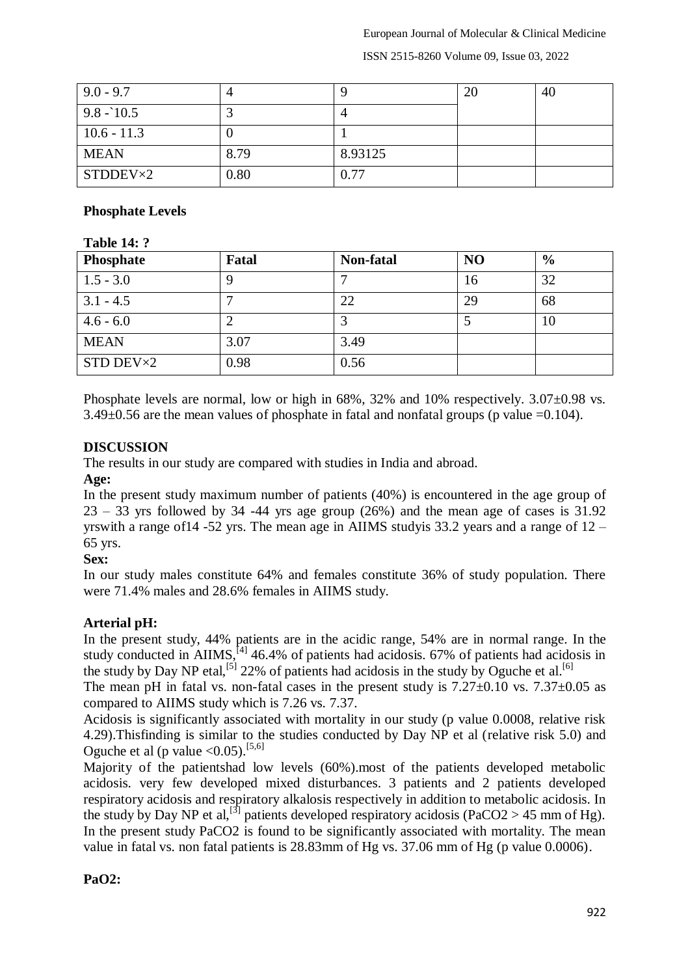#### European Journal of Molecular & Clinical Medicine

ISSN 2515-8260 Volume 09, Issue 03, 2022

| $9.0 - 9.7$   |      |         | 2 <sub>0</sub> | 40 |
|---------------|------|---------|----------------|----|
| $9.8 - 10.5$  |      |         |                |    |
| $10.6 - 11.3$ |      |         |                |    |
| <b>MEAN</b>   | 8.79 | 8.93125 |                |    |
| STDDEV×2      | 0.80 | 0.77    |                |    |

### **Phosphate Levels**

# **Table 14: ?**

| Phosphate          | Fatal | Non-fatal | N <sub>O</sub> | $\frac{6}{9}$ |
|--------------------|-------|-----------|----------------|---------------|
| $1.5 - 3.0$        |       |           | 16             | 32            |
| $3.1 - 4.5$        |       | 22        | 29             | 68            |
| $4.6 - 6.0$        |       |           |                | 10            |
| <b>MEAN</b>        | 3.07  | 3.49      |                |               |
| STD DEV $\times 2$ | 0.98  | 0.56      |                |               |

Phosphate levels are normal, low or high in 68%, 32% and 10% respectively. 3.07 $\pm$ 0.98 vs.  $3.49\pm0.56$  are the mean values of phosphate in fatal and nonfatal groups (p value =0.104).

### **DISCUSSION**

The results in our study are compared with studies in India and abroad.

### **Age:**

In the present study maximum number of patients (40%) is encountered in the age group of  $23 - 33$  yrs followed by 34 -44 yrs age group (26%) and the mean age of cases is 31.92 yrswith a range of  $14 - 52$  yrs. The mean age in AIIMS study is 33.2 years and a range of  $12 -$ 65 yrs.

### **Sex:**

In our study males constitute 64% and females constitute 36% of study population. There were 71.4% males and 28.6% females in AIIMS study.

# **Arterial pH:**

In the present study, 44% patients are in the acidic range, 54% are in normal range. In the study conducted in AIIMS,  $^{[4]}_1$  46.4% of patients had acidosis. 67% of patients had acidosis in the study by Day NP etal,<sup>[5]</sup> 22% of patients had acidosis in the study by Oguche et al.<sup>[6]</sup>

The mean pH in fatal vs. non-fatal cases in the present study is  $7.27\pm0.10$  vs.  $7.37\pm0.05$  as compared to AIIMS study which is 7.26 vs. 7.37.

Acidosis is significantly associated with mortality in our study (p value 0.0008, relative risk 4.29).Thisfinding is similar to the studies conducted by Day NP et al (relative risk 5.0) and Oguche et al (p value  $\leq 0.05$ ).<sup>[5,6]</sup>

Majority of the patientshad low levels (60%).most of the patients developed metabolic acidosis. very few developed mixed disturbances. 3 patients and 2 patients developed respiratory acidosis and respiratory alkalosis respectively in addition to metabolic acidosis. In the study by Day NP et al,<sup>[3]</sup> patients developed respiratory acidosis (PaCO2 > 45 mm of Hg). In the present study PaCO2 is found to be significantly associated with mortality. The mean value in fatal vs. non fatal patients is 28.83mm of Hg vs. 37.06 mm of Hg (p value 0.0006).

### **PaO2:**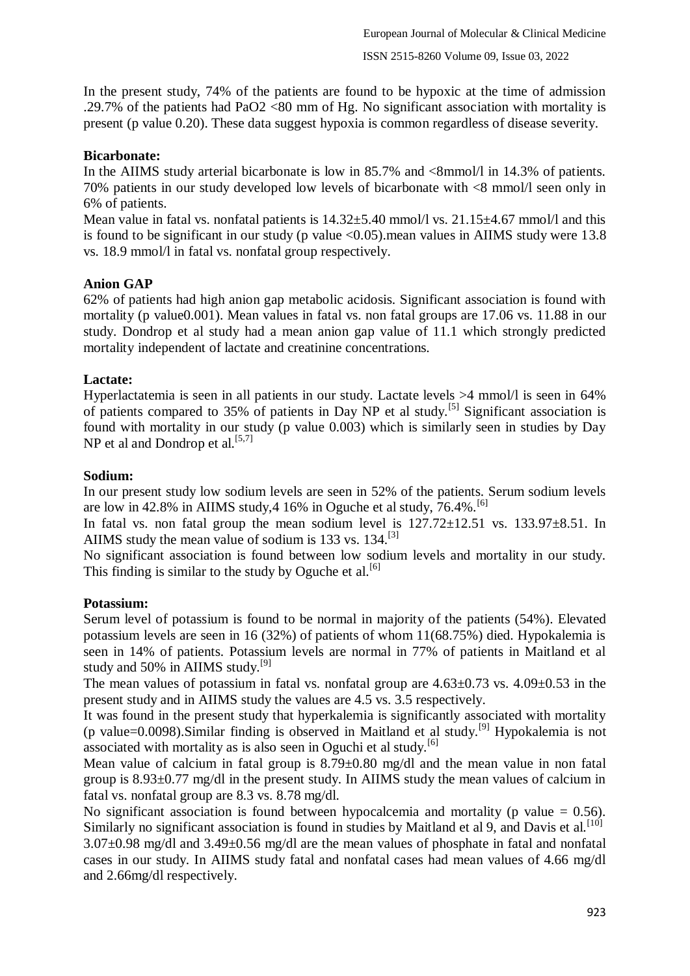In the present study, 74% of the patients are found to be hypoxic at the time of admission .29.7% of the patients had PaO2 <80 mm of Hg. No significant association with mortality is present (p value 0.20). These data suggest hypoxia is common regardless of disease severity.

# **Bicarbonate:**

In the AIIMS study arterial bicarbonate is low in 85.7% and  $\langle 8 \text{mmol/} \rangle$  in 14.3% of patients. 70% patients in our study developed low levels of bicarbonate with <8 mmol/l seen only in 6% of patients.

Mean value in fatal vs. nonfatal patients is  $14.32 \pm 5.40$  mmol/l vs.  $21.15 \pm 4.67$  mmol/l and this is found to be significant in our study (p value <0.05).mean values in AIIMS study were 13.8 vs. 18.9 mmol/l in fatal vs. nonfatal group respectively.

# **Anion GAP**

62% of patients had high anion gap metabolic acidosis. Significant association is found with mortality (p value 0.001). Mean values in fatal vs. non fatal groups are 17.06 vs. 11.88 in our study. Dondrop et al study had a mean anion gap value of 11.1 which strongly predicted mortality independent of lactate and creatinine concentrations.

# **Lactate:**

Hyperlactatemia is seen in all patients in our study. Lactate levels >4 mmol/l is seen in 64% of patients compared to 35% of patients in Day NP et al study.[5] Significant association is found with mortality in our study (p value 0.003) which is similarly seen in studies by Day NP et al and Dondrop et al.  $[5,7]$ 

# **Sodium:**

In our present study low sodium levels are seen in 52% of the patients. Serum sodium levels are low in 42.8% in AIIMS study,  $4\frac{16}{6}$  in Oguche et al study,  $76.4\%$ .<sup>[6]</sup>

In fatal vs. non fatal group the mean sodium level is  $127.72 \pm 12.51$  vs.  $133.97 \pm 8.51$ . In AIIMS study the mean value of sodium is 133 vs. 134.<sup>[3]</sup>

No significant association is found between low sodium levels and mortality in our study. This finding is similar to the study by Oguche et al.<sup>[6]</sup>

# **Potassium:**

Serum level of potassium is found to be normal in majority of the patients (54%). Elevated potassium levels are seen in 16 (32%) of patients of whom 11(68.75%) died. Hypokalemia is seen in 14% of patients. Potassium levels are normal in 77% of patients in Maitland et al study and 50% in AIIMS study.<sup>[9]</sup>

The mean values of potassium in fatal vs. nonfatal group are  $4.63\pm0.73$  vs.  $4.09\pm0.53$  in the present study and in AIIMS study the values are 4.5 vs. 3.5 respectively.

It was found in the present study that hyperkalemia is significantly associated with mortality (p value=0.0098). Similar finding is observed in Maitland et al study.<sup>[9]</sup> Hypokalemia is not associated with mortality as is also seen in Oguchi et al study.<sup>[6]</sup>

Mean value of calcium in fatal group is  $8.79 \pm 0.80$  mg/dl and the mean value in non fatal group is 8.93±0.77 mg/dl in the present study. In AIIMS study the mean values of calcium in fatal vs. nonfatal group are 8.3 vs. 8.78 mg/dl.

No significant association is found between hypocalcemia and mortality (p value  $= 0.56$ ). Similarly no significant association is found in studies by Maitland et al 9, and Davis et al.<sup>[10]</sup> 3.07±0.98 mg/dl and 3.49±0.56 mg/dl are the mean values of phosphate in fatal and nonfatal cases in our study. In AIIMS study fatal and nonfatal cases had mean values of 4.66 mg/dl and 2.66mg/dl respectively.